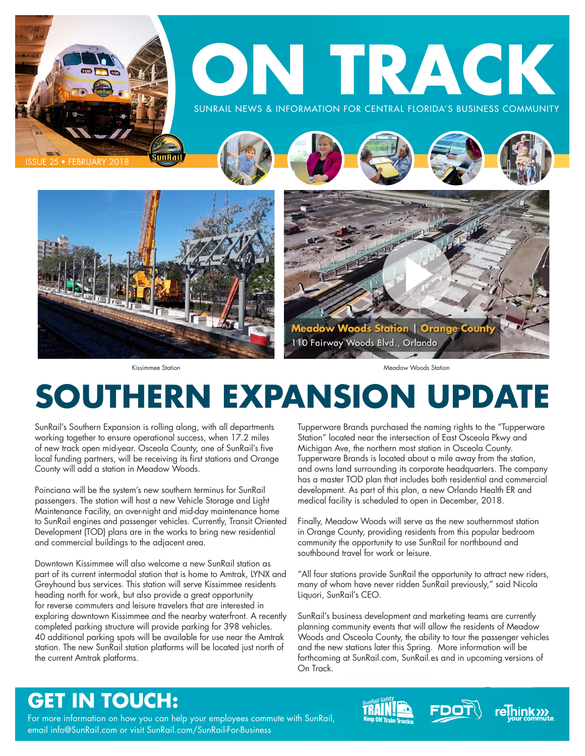

# **SOUTHERN EXPANSION UPDATE**

SunRail's Southern Expansion is rolling along, with all departments working together to ensure operational success, when 17.2 miles of new track open mid-year. Osceola County, one of SunRail's five local funding partners, will be receiving its first stations and Orange County will add a station in Meadow Woods.

Poinciana will be the system's new southern terminus for SunRail passengers. The station will host a new Vehicle Storage and Light Maintenance Facility, an over-night and mid-day maintenance home to SunRail engines and passenger vehicles. Currently, Transit Oriented Development (TOD) plans are in the works to bring new residential and commercial buildings to the adjacent area.

Downtown Kissimmee will also welcome a new SunRail station as part of its current intermodal station that is home to Amtrak, LYNX and Greyhound bus services. This station will serve Kissimmee residents heading north for work, but also provide a great opportunity for reverse commuters and leisure travelers that are interested in exploring downtown Kissimmee and the nearby waterfront. A recently completed parking structure will provide parking for 398 vehicles. 40 additional parking spots will be available for use near the Amtrak station. The new SunRail station platforms will be located just north of the current Amtrak platforms.

Tupperware Brands purchased the naming rights to the "Tupperware Station" located near the intersection of East Osceola Pkwy and Michigan Ave, the northern most station in Osceola County. Tupperware Brands is located about a mile away from the station, and owns land surrounding its corporate headquarters. The company has a master TOD plan that includes both residential and commercial development. As part of this plan, a new Orlando Health ER and medical facility is scheduled to open in December, 2018.

Finally, Meadow Woods will serve as the new southernmost station in Orange County, providing residents from this popular bedroom community the opportunity to use SunRail for northbound and southbound travel for work or leisure.

"All four stations provide SunRail the opportunity to attract new riders, many of whom have never ridden SunRail previously," said Nicola Liquori, SunRail's CEO.

SunRail's business development and marketing teams are currently planning community events that will allow the residents of Meadow Woods and Osceola County, the ability to tour the passenger vehicles and the new stations later this Spring. More information will be forthcoming at SunRail.com, SunRail.es and in upcoming versions of On Track.

# **GET IN TOUCH:**

For more information on how you can help your employees commute with SunRail, email info@SunRail.com or visit SunRail.com/SunRail-For-Business